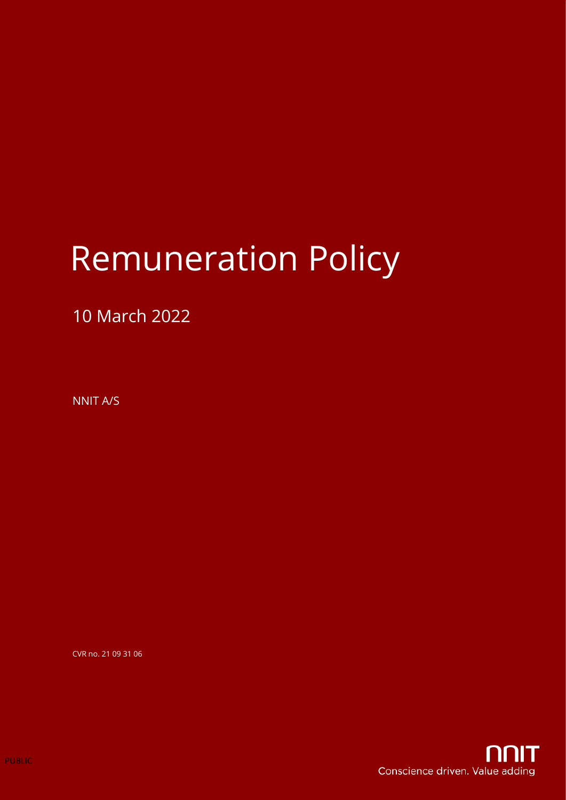# Remuneration Policy

### 10 March 2022

NNIT A/S

CVR no. 21 09 31 06

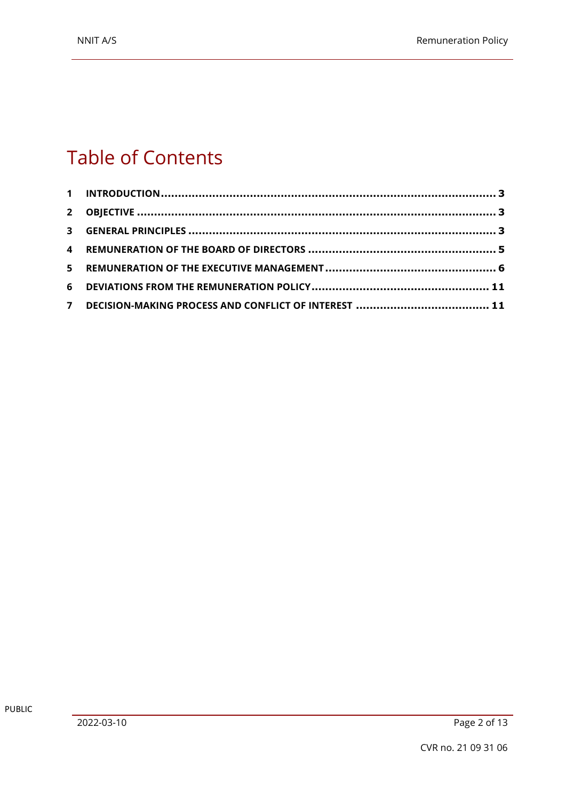# Table of Contents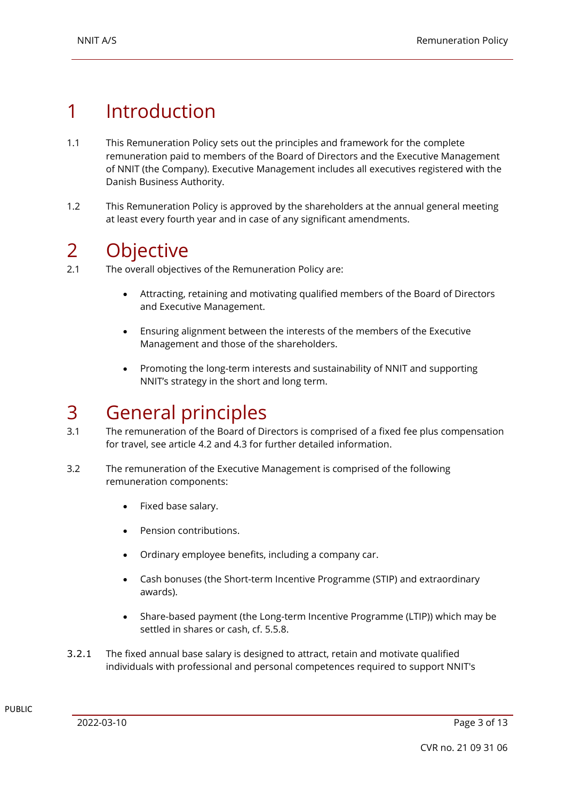# 1 Introduction

- 1.1 This Remuneration Policy sets out the principles and framework for the complete remuneration paid to members of the Board of Directors and the Executive Management of NNIT (the Company). Executive Management includes all executives registered with the Danish Business Authority.
- 1.2 This Remuneration Policy is approved by the shareholders at the annual general meeting at least every fourth year and in case of any significant amendments.

### 2 Objective

- 2.1 The overall objectives of the Remuneration Policy are:
	- Attracting, retaining and motivating qualified members of the Board of Directors and Executive Management.
	- Ensuring alignment between the interests of the members of the Executive Management and those of the shareholders.
	- Promoting the long-term interests and sustainability of NNIT and supporting NNIT's strategy in the short and long term.

## 3 General principles

- 3.1 The remuneration of the Board of Directors is comprised of a fixed fee plus compensation for travel, see articl[e 4.2](#page-4-0) and [4.3](#page-5-0) for further detailed information.
- 3.2 The remuneration of the Executive Management is comprised of the following remuneration components:
	- Fixed base salary.
	- Pension contributions.
	- Ordinary employee benefits, including a company car.
	- Cash bonuses (the Short-term Incentive Programme (STIP) and extraordinary awards).
	- Share-based payment (the Long-term Incentive Programme (LTIP)) which may be settled in shares or cash, cf. 5.5.8.
- 3.2.1 The fixed annual base salary is designed to attract, retain and motivate qualified individuals with professional and personal competences required to support NNIT's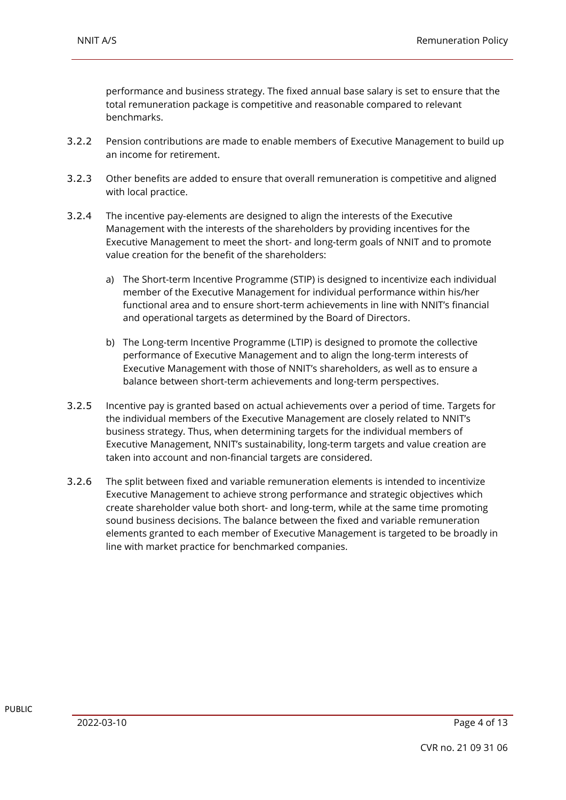performance and business strategy. The fixed annual base salary is set to ensure that the total remuneration package is competitive and reasonable compared to relevant benchmarks.

- 3.2.2 Pension contributions are made to enable members of Executive Management to build up an income for retirement.
- 3.2.3 Other benefits are added to ensure that overall remuneration is competitive and aligned with local practice.
- 3.2.4 The incentive pay-elements are designed to align the interests of the Executive Management with the interests of the shareholders by providing incentives for the Executive Management to meet the short- and long-term goals of NNIT and to promote value creation for the benefit of the shareholders:
	- a) The Short-term Incentive Programme (STIP) is designed to incentivize each individual member of the Executive Management for individual performance within his/her functional area and to ensure short-term achievements in line with NNIT's financial and operational targets as determined by the Board of Directors.
	- b) The Long-term Incentive Programme (LTIP) is designed to promote the collective performance of Executive Management and to align the long-term interests of Executive Management with those of NNIT's shareholders, as well as to ensure a balance between short-term achievements and long-term perspectives.
- 3.2.5 Incentive pay is granted based on actual achievements over a period of time. Targets for the individual members of the Executive Management are closely related to NNIT's business strategy. Thus, when determining targets for the individual members of Executive Management, NNIT's sustainability, long-term targets and value creation are taken into account and non-financial targets are considered.
- 3.2.6 The split between fixed and variable remuneration elements is intended to incentivize Executive Management to achieve strong performance and strategic objectives which create shareholder value both short- and long-term, while at the same time promoting sound business decisions. The balance between the fixed and variable remuneration elements granted to each member of Executive Management is targeted to be broadly in line with market practice for benchmarked companies.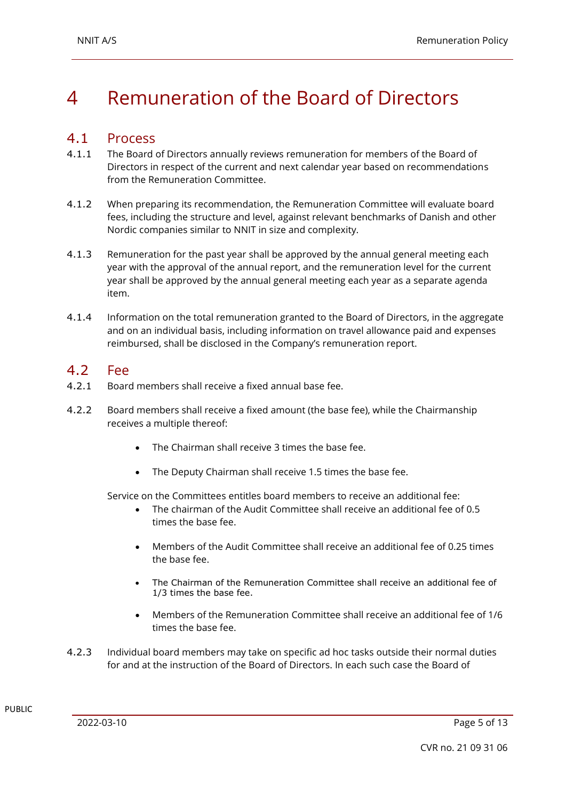# 4 Remuneration of the Board of Directors

#### 4.1 Process

- 4.1.1 The Board of Directors annually reviews remuneration for members of the Board of Directors in respect of the current and next calendar year based on recommendations from the Remuneration Committee.
- 4.1.2 When preparing its recommendation, the Remuneration Committee will evaluate board fees, including the structure and level, against relevant benchmarks of Danish and other Nordic companies similar to NNIT in size and complexity.
- 4.1.3 Remuneration for the past year shall be approved by the annual general meeting each year with the approval of the annual report, and the remuneration level for the current year shall be approved by the annual general meeting each year as a separate agenda item.
- 4.1.4 Information on the total remuneration granted to the Board of Directors, in the aggregate and on an individual basis, including information on travel allowance paid and expenses reimbursed, shall be disclosed in the Company's remuneration report.

#### <span id="page-4-0"></span>4.2 Fee

- 4.2.1 Board members shall receive a fixed annual base fee.
- 4.2.2 Board members shall receive a fixed amount (the base fee), while the Chairmanship receives a multiple thereof:
	- The Chairman shall receive 3 times the base fee.
	- The Deputy Chairman shall receive 1.5 times the base fee.

Service on the Committees entitles board members to receive an additional fee:

- The chairman of the Audit Committee shall receive an additional fee of 0.5 times the base fee.
- Members of the Audit Committee shall receive an additional fee of 0.25 times the base fee.
- The Chairman of the Remuneration Committee shall receive an additional fee of 1/3 times the base fee.
- Members of the Remuneration Committee shall receive an additional fee of 1/6 times the base fee.
- 4.2.3 Individual board members may take on specific ad hoc tasks outside their normal duties for and at the instruction of the Board of Directors. In each such case the Board of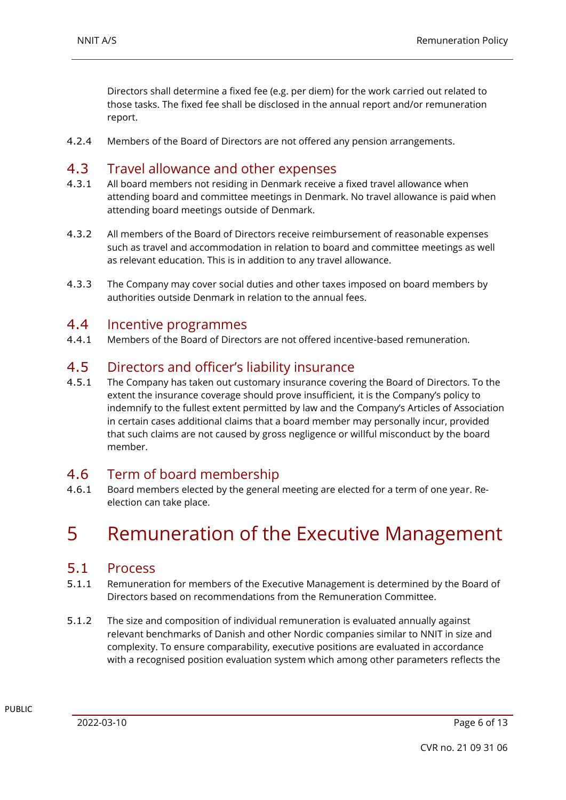Directors shall determine a fixed fee (e.g. per diem) for the work carried out related to those tasks. The fixed fee shall be disclosed in the annual report and/or remuneration report.

4.2.4 Members of the Board of Directors are not offered any pension arrangements.

#### <span id="page-5-0"></span>4.3 Travel allowance and other expenses

- 4.3.1 All board members not residing in Denmark receive a fixed travel allowance when attending board and committee meetings in Denmark. No travel allowance is paid when attending board meetings outside of Denmark.
- 4.3.2 All members of the Board of Directors receive reimbursement of reasonable expenses such as travel and accommodation in relation to board and committee meetings as well as relevant education. This is in addition to any travel allowance.
- 4.3.3 The Company may cover social duties and other taxes imposed on board members by authorities outside Denmark in relation to the annual fees.

#### 4.4 Incentive programmes

4.4.1 Members of the Board of Directors are not offered incentive-based remuneration.

#### 4.5 Directors and officer's liability insurance

4.5.1 The Company has taken out customary insurance covering the Board of Directors. To the extent the insurance coverage should prove insufficient, it is the Company's policy to indemnify to the fullest extent permitted by law and the Company's Articles of Association in certain cases additional claims that a board member may personally incur, provided that such claims are not caused by gross negligence or willful misconduct by the board member.

#### 4.6 Term of board membership

4.6.1 Board members elected by the general meeting are elected for a term of one year. Reelection can take place.

## 5 Remuneration of the Executive Management

#### 5.1 Process

- 5.1.1 Remuneration for members of the Executive Management is determined by the Board of Directors based on recommendations from the Remuneration Committee.
- 5.1.2 The size and composition of individual remuneration is evaluated annually against relevant benchmarks of Danish and other Nordic companies similar to NNIT in size and complexity. To ensure comparability, executive positions are evaluated in accordance with a recognised position evaluation system which among other parameters reflects the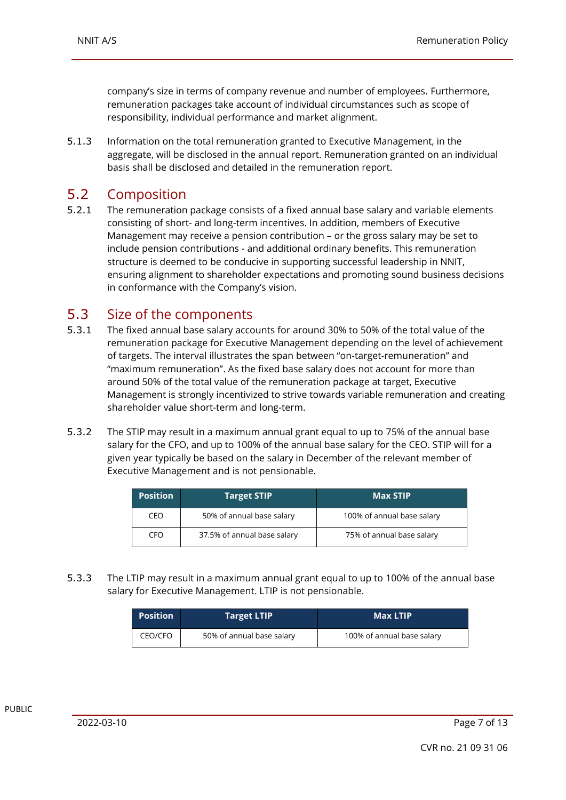company's size in terms of company revenue and number of employees. Furthermore, remuneration packages take account of individual circumstances such as scope of responsibility, individual performance and market alignment.

5.1.3 Information on the total remuneration granted to Executive Management, in the aggregate, will be disclosed in the annual report. Remuneration granted on an individual basis shall be disclosed and detailed in the remuneration report.

#### 5.2 Composition

5.2.1 The remuneration package consists of a fixed annual base salary and variable elements consisting of short- and long-term incentives. In addition, members of Executive Management may receive a pension contribution – or the gross salary may be set to include pension contributions - and additional ordinary benefits. This remuneration structure is deemed to be conducive in supporting successful leadership in NNIT, ensuring alignment to shareholder expectations and promoting sound business decisions in conformance with the Company's vision.

#### 5.3 Size of the components

- 5.3.1 The fixed annual base salary accounts for around 30% to 50% of the total value of the remuneration package for Executive Management depending on the level of achievement of targets. The interval illustrates the span between "on-target-remuneration" and "maximum remuneration". As the fixed base salary does not account for more than around 50% of the total value of the remuneration package at target, Executive Management is strongly incentivized to strive towards variable remuneration and creating shareholder value short-term and long-term.
- 5.3.2 The STIP may result in a maximum annual grant equal to up to 75% of the annual base salary for the CFO, and up to 100% of the annual base salary for the CEO. STIP will for a given year typically be based on the salary in December of the relevant member of Executive Management and is not pensionable.

| <b>Position</b> | <b>Target STIP</b>          | <b>Max STIP</b>            |
|-----------------|-----------------------------|----------------------------|
| CEO             | 50% of annual base salary   | 100% of annual base salary |
| CFO             | 37.5% of annual base salary | 75% of annual base salary  |

5.3.3 The LTIP may result in a maximum annual grant equal to up to 100% of the annual base salary for Executive Management. LTIP is not pensionable.

| <b>Position</b> | Target LTIP'              | <b>Max LTIP</b>            |
|-----------------|---------------------------|----------------------------|
| CEO/CFO         | 50% of annual base salary | 100% of annual base salary |

PUBLIC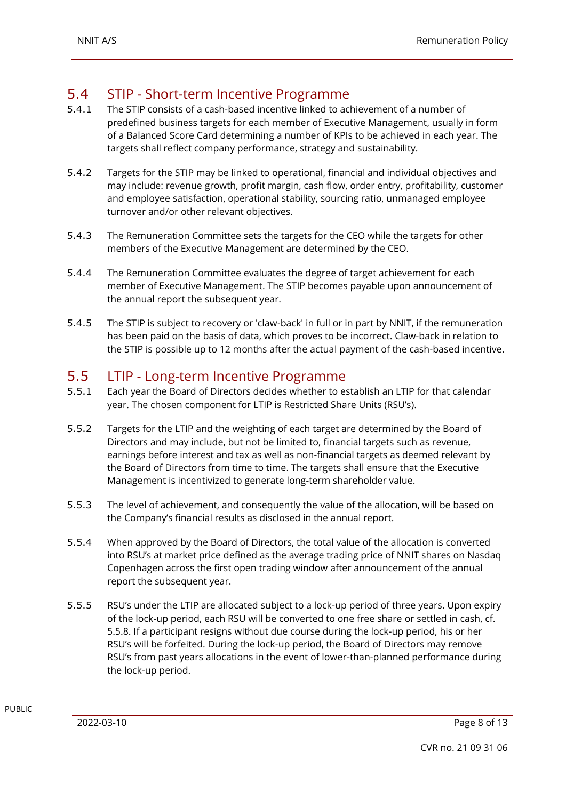#### 5.4 STIP - Short-term Incentive Programme

- 5.4.1 The STIP consists of a cash-based incentive linked to achievement of a number of predefined business targets for each member of Executive Management, usually in form of a Balanced Score Card determining a number of KPIs to be achieved in each year. The targets shall reflect company performance, strategy and sustainability.
- 5.4.2 Targets for the STIP may be linked to operational, financial and individual objectives and may include: revenue growth, profit margin, cash flow, order entry, profitability, customer and employee satisfaction, operational stability, sourcing ratio, unmanaged employee turnover and/or other relevant objectives.
- 5.4.3 The Remuneration Committee sets the targets for the CEO while the targets for other members of the Executive Management are determined by the CEO.
- 5.4.4 The Remuneration Committee evaluates the degree of target achievement for each member of Executive Management. The STIP becomes payable upon announcement of the annual report the subsequent year.
- 5.4.5 The STIP is subject to recovery or 'claw-back' in full or in part by NNIT, if the remuneration has been paid on the basis of data, which proves to be incorrect. Claw-back in relation to the STIP is possible up to 12 months after the actual payment of the cash-based incentive.

#### 5.5 LTIP - Long-term Incentive Programme

- 5.5.1 Each year the Board of Directors decides whether to establish an LTIP for that calendar year. The chosen component for LTIP is Restricted Share Units (RSU's).
- 5.5.2 Targets for the LTIP and the weighting of each target are determined by the Board of Directors and may include, but not be limited to, financial targets such as revenue, earnings before interest and tax as well as non-financial targets as deemed relevant by the Board of Directors from time to time. The targets shall ensure that the Executive Management is incentivized to generate long-term shareholder value.
- 5.5.3 The level of achievement, and consequently the value of the allocation, will be based on the Company's financial results as disclosed in the annual report.
- 5.5.4 When approved by the Board of Directors, the total value of the allocation is converted into RSU's at market price defined as the average trading price of NNIT shares on Nasdaq Copenhagen across the first open trading window after announcement of the annual report the subsequent year.
- 5.5.5 RSU's under the LTIP are allocated subject to a lock-up period of three years. Upon expiry of the lock-up period, each RSU will be converted to one free share or settled in cash, cf. 5.5.8. If a participant resigns without due course during the lock-up period, his or her RSU's will be forfeited. During the lock-up period, the Board of Directors may remove RSU's from past years allocations in the event of lower-than-planned performance during the lock-up period.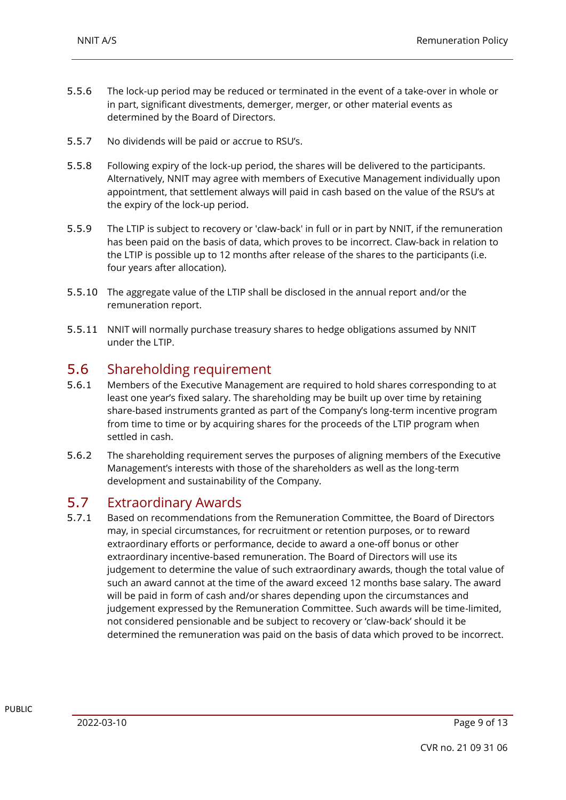- 5.5.6 The lock-up period may be reduced or terminated in the event of a take-over in whole or in part, significant divestments, demerger, merger, or other material events as determined by the Board of Directors.
- 5.5.7 No dividends will be paid or accrue to RSU's.
- 5.5.8 Following expiry of the lock-up period, the shares will be delivered to the participants. Alternatively, NNIT may agree with members of Executive Management individually upon appointment, that settlement always will paid in cash based on the value of the RSU's at the expiry of the lock-up period.
- 5.5.9 The LTIP is subject to recovery or 'claw-back' in full or in part by NNIT, if the remuneration has been paid on the basis of data, which proves to be incorrect. Claw-back in relation to the LTIP is possible up to 12 months after release of the shares to the participants (i.e. four years after allocation).
- 5.5.10 The aggregate value of the LTIP shall be disclosed in the annual report and/or the remuneration report.
- 5.5.11 NNIT will normally purchase treasury shares to hedge obligations assumed by NNIT under the LTIP.

#### 5.6 Shareholding requirement

- 5.6.1 Members of the Executive Management are required to hold shares corresponding to at least one year's fixed salary. The shareholding may be built up over time by retaining share-based instruments granted as part of the Company's long-term incentive program from time to time or by acquiring shares for the proceeds of the LTIP program when settled in cash.
- 5.6.2 The shareholding requirement serves the purposes of aligning members of the Executive Management's interests with those of the shareholders as well as the long-term development and sustainability of the Company.

#### <span id="page-8-0"></span>5.7 Extraordinary Awards

5.7.1 Based on recommendations from the Remuneration Committee, the Board of Directors may, in special circumstances, for recruitment or retention purposes, or to reward extraordinary efforts or performance, decide to award a one-off bonus or other extraordinary incentive-based remuneration. The Board of Directors will use its judgement to determine the value of such extraordinary awards, though the total value of such an award cannot at the time of the award exceed 12 months base salary. The award will be paid in form of cash and/or shares depending upon the circumstances and judgement expressed by the Remuneration Committee. Such awards will be time-limited, not considered pensionable and be subject to recovery or 'claw-back' should it be determined the remuneration was paid on the basis of data which proved to be incorrect.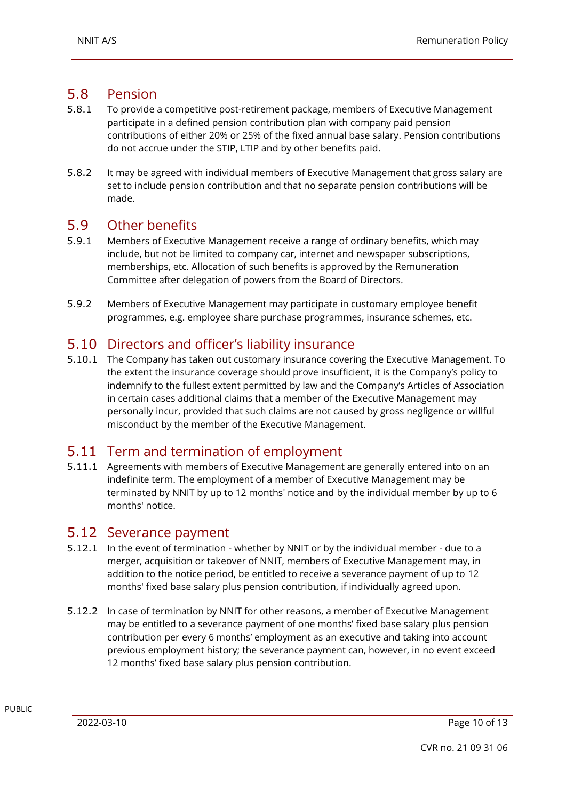#### 5.8 Pension

- 5.8.1 To provide a competitive post-retirement package, members of Executive Management participate in a defined pension contribution plan with company paid pension contributions of either 20% or 25% of the fixed annual base salary. Pension contributions do not accrue under the STIP, LTIP and by other benefits paid.
- 5.8.2 It may be agreed with individual members of Executive Management that gross salary are set to include pension contribution and that no separate pension contributions will be made.

#### 5.9 Other benefits

- 5.9.1 Members of Executive Management receive a range of ordinary benefits, which may include, but not be limited to company car, internet and newspaper subscriptions, memberships, etc. Allocation of such benefits is approved by the Remuneration Committee after delegation of powers from the Board of Directors.
- 5.9.2 Members of Executive Management may participate in customary employee benefit programmes, e.g. employee share purchase programmes, insurance schemes, etc.

#### 5.10 Directors and officer's liability insurance

5.10.1 The Company has taken out customary insurance covering the Executive Management. To the extent the insurance coverage should prove insufficient, it is the Company's policy to indemnify to the fullest extent permitted by law and the Company's Articles of Association in certain cases additional claims that a member of the Executive Management may personally incur, provided that such claims are not caused by gross negligence or willful misconduct by the member of the Executive Management.

#### 5.11 Term and termination of employment

5.11.1 Agreements with members of Executive Management are generally entered into on an indefinite term. The employment of a member of Executive Management may be terminated by NNIT by up to 12 months' notice and by the individual member by up to 6 months' notice.

#### 5.12 Severance payment

- 5.12.1 In the event of termination whether by NNIT or by the individual member due to a merger, acquisition or takeover of NNIT, members of Executive Management may, in addition to the notice period, be entitled to receive a severance payment of up to 12 months' fixed base salary plus pension contribution, if individually agreed upon.
- 5.12.2 In case of termination by NNIT for other reasons, a member of Executive Management may be entitled to a severance payment of one months' fixed base salary plus pension contribution per every 6 months' employment as an executive and taking into account previous employment history; the severance payment can, however, in no event exceed 12 months' fixed base salary plus pension contribution.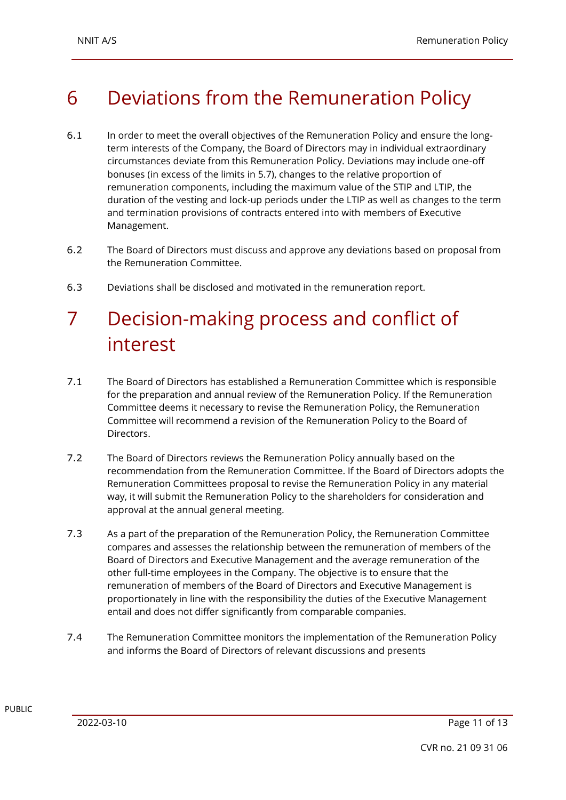# 6 Deviations from the Remuneration Policy

- 6.1 In order to meet the overall objectives of the Remuneration Policy and ensure the longterm interests of the Company, the Board of Directors may in individual extraordinary circumstances deviate from this Remuneration Policy. Deviations may include one-off bonuses (in excess of the limits in [5.7\)](#page-8-0), changes to the relative proportion of remuneration components, including the maximum value of the STIP and LTIP, the duration of the vesting and lock-up periods under the LTIP as well as changes to the term and termination provisions of contracts entered into with members of Executive Management.
- 6.2 The Board of Directors must discuss and approve any deviations based on proposal from the Remuneration Committee.
- 6.3 Deviations shall be disclosed and motivated in the remuneration report.

# 7 Decision-making process and conflict of interest

- 7.1 The Board of Directors has established a Remuneration Committee which is responsible for the preparation and annual review of the Remuneration Policy. If the Remuneration Committee deems it necessary to revise the Remuneration Policy, the Remuneration Committee will recommend a revision of the Remuneration Policy to the Board of **Directors**
- 7.2 The Board of Directors reviews the Remuneration Policy annually based on the recommendation from the Remuneration Committee. If the Board of Directors adopts the Remuneration Committees proposal to revise the Remuneration Policy in any material way, it will submit the Remuneration Policy to the shareholders for consideration and approval at the annual general meeting.
- 7.3 As a part of the preparation of the Remuneration Policy, the Remuneration Committee compares and assesses the relationship between the remuneration of members of the Board of Directors and Executive Management and the average remuneration of the other full-time employees in the Company. The objective is to ensure that the remuneration of members of the Board of Directors and Executive Management is proportionately in line with the responsibility the duties of the Executive Management entail and does not differ significantly from comparable companies.
- 7.4 The Remuneration Committee monitors the implementation of the Remuneration Policy and informs the Board of Directors of relevant discussions and presents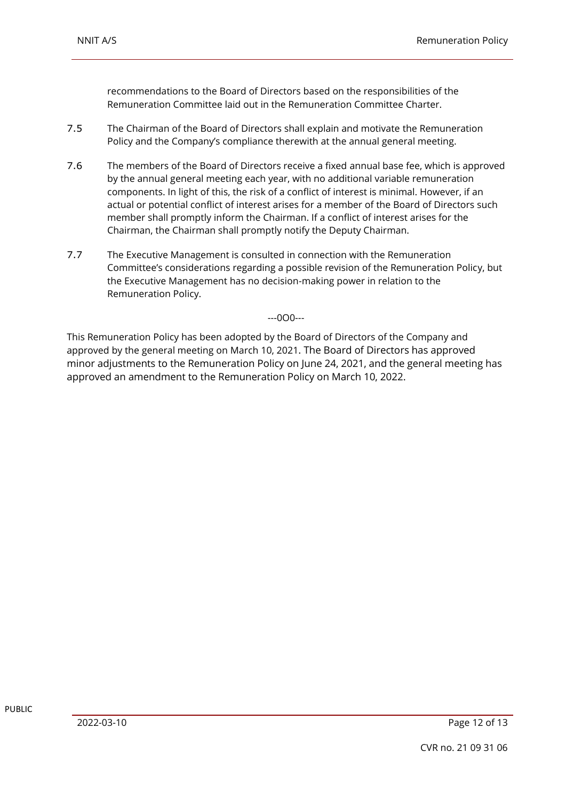recommendations to the Board of Directors based on the responsibilities of the Remuneration Committee laid out in the Remuneration Committee Charter.

- 7.5 The Chairman of the Board of Directors shall explain and motivate the Remuneration Policy and the Company's compliance therewith at the annual general meeting.
- 7.6 The members of the Board of Directors receive a fixed annual base fee, which is approved by the annual general meeting each year, with no additional variable remuneration components. In light of this, the risk of a conflict of interest is minimal. However, if an actual or potential conflict of interest arises for a member of the Board of Directors such member shall promptly inform the Chairman. If a conflict of interest arises for the Chairman, the Chairman shall promptly notify the Deputy Chairman.
- 7.7 The Executive Management is consulted in connection with the Remuneration Committee's considerations regarding a possible revision of the Remuneration Policy, but the Executive Management has no decision-making power in relation to the Remuneration Policy.

#### ---0O0---

This Remuneration Policy has been adopted by the Board of Directors of the Company and approved by the general meeting on March 10, 2021. The Board of Directors has approved minor adjustments to the Remuneration Policy on June 24, 2021, and the general meeting has approved an amendment to the Remuneration Policy on March 10, 2022.

PUBLIC